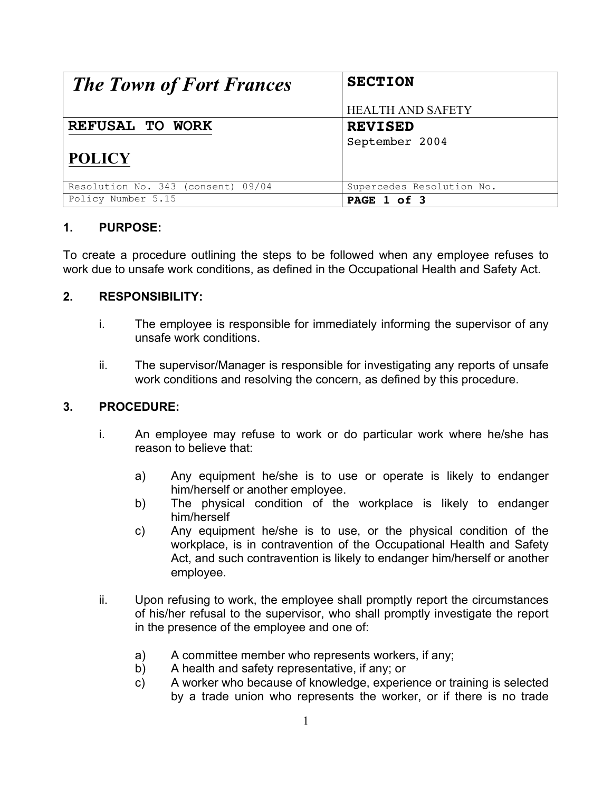| <b>The Town of Fort Frances</b>    | <b>SECTION</b>            |
|------------------------------------|---------------------------|
|                                    | <b>HEALTH AND SAFETY</b>  |
| REFUSAL TO WORK                    | <b>REVISED</b>            |
|                                    | September 2004            |
| <b>POLICY</b>                      |                           |
| Resolution No. 343 (consent) 09/04 | Supercedes Resolution No. |
| Policy Number 5.15                 | PAGE 1 of 3               |

## **1. PURPOSE:**

To create a procedure outlining the steps to be followed when any employee refuses to work due to unsafe work conditions, as defined in the Occupational Health and Safety Act.

## **2. RESPONSIBILITY:**

- i. The employee is responsible for immediately informing the supervisor of any unsafe work conditions.
- ii. The supervisor/Manager is responsible for investigating any reports of unsafe work conditions and resolving the concern, as defined by this procedure.

## **3. PROCEDURE:**

- i. An employee may refuse to work or do particular work where he/she has reason to believe that:
	- a) Any equipment he/she is to use or operate is likely to endanger him/herself or another employee.
	- b) The physical condition of the workplace is likely to endanger him/herself
	- c) Any equipment he/she is to use, or the physical condition of the workplace, is in contravention of the Occupational Health and Safety Act, and such contravention is likely to endanger him/herself or another employee.
- ii. Upon refusing to work, the employee shall promptly report the circumstances of his/her refusal to the supervisor, who shall promptly investigate the report in the presence of the employee and one of:
	- a) A committee member who represents workers, if any;
	- b) A health and safety representative, if any; or
	- c) A worker who because of knowledge, experience or training is selected by a trade union who represents the worker, or if there is no trade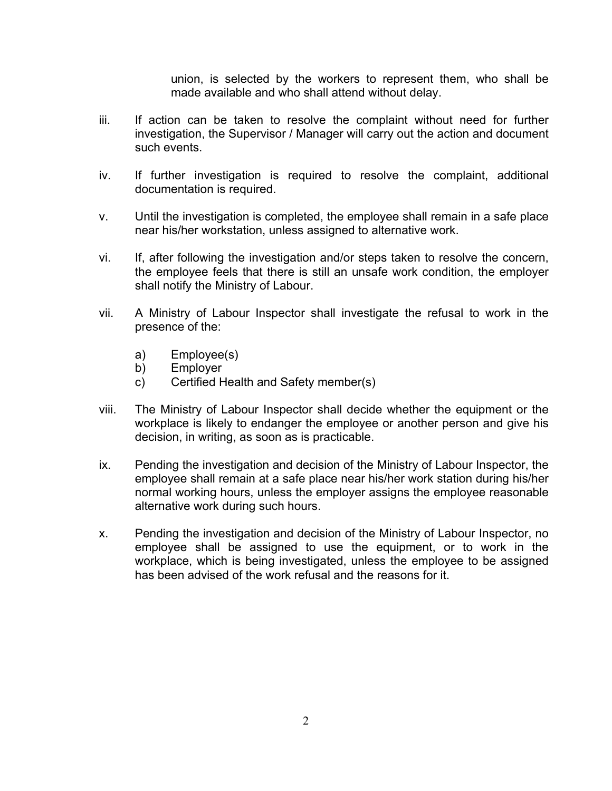union, is selected by the workers to represent them, who shall be made available and who shall attend without delay.

- iii. If action can be taken to resolve the complaint without need for further investigation, the Supervisor / Manager will carry out the action and document such events.
- iv. If further investigation is required to resolve the complaint, additional documentation is required.
- v. Until the investigation is completed, the employee shall remain in a safe place near his/her workstation, unless assigned to alternative work.
- vi. If, after following the investigation and/or steps taken to resolve the concern, the employee feels that there is still an unsafe work condition, the employer shall notify the Ministry of Labour.
- vii. A Ministry of Labour Inspector shall investigate the refusal to work in the presence of the:
	- a) Employee(s)
	- b) Employer
	- c) Certified Health and Safety member(s)
- viii. The Ministry of Labour Inspector shall decide whether the equipment or the workplace is likely to endanger the employee or another person and give his decision, in writing, as soon as is practicable.
- ix. Pending the investigation and decision of the Ministry of Labour Inspector, the employee shall remain at a safe place near his/her work station during his/her normal working hours, unless the employer assigns the employee reasonable alternative work during such hours.
- x. Pending the investigation and decision of the Ministry of Labour Inspector, no employee shall be assigned to use the equipment, or to work in the workplace, which is being investigated, unless the employee to be assigned has been advised of the work refusal and the reasons for it.